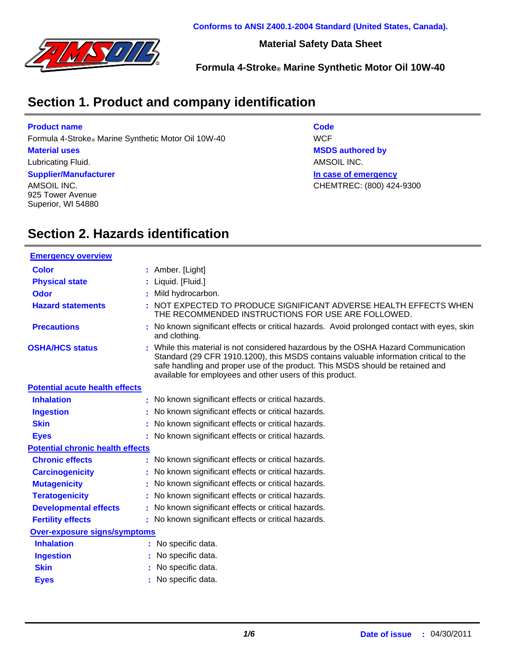

#### **Material Safety Data Sheet**

**Formula 4-Stroke® Marine Synthetic Motor Oil 10W-40**

# **Section 1. Product and company identification**

#### **Product name**

Formula 4-Stroke® Marine Synthetic Motor Oil 10W-40 WCF

#### **Material uses**

Lubricating Fluid.

#### **Supplier/Manufacturer**

AMSOIL INC. 925 Tower Avenue Superior, WI 54880 **Code In case of emergency MSDS authored by** AMSOIL INC. CHEMTREC: (800) 424-9300

# **Section 2. Hazards identification**

| <b>Emergency overview</b>               |                                                                                                                                                                                                                                                                                                                         |
|-----------------------------------------|-------------------------------------------------------------------------------------------------------------------------------------------------------------------------------------------------------------------------------------------------------------------------------------------------------------------------|
| <b>Color</b>                            | : Amber. [Light]                                                                                                                                                                                                                                                                                                        |
| <b>Physical state</b>                   | : Liquid. [Fluid.]                                                                                                                                                                                                                                                                                                      |
| <b>Odor</b>                             | Mild hydrocarbon.                                                                                                                                                                                                                                                                                                       |
| <b>Hazard statements</b>                | : NOT EXPECTED TO PRODUCE SIGNIFICANT ADVERSE HEALTH EFFECTS WHEN<br>THE RECOMMENDED INSTRUCTIONS FOR USE ARE FOLLOWED.                                                                                                                                                                                                 |
| <b>Precautions</b>                      | : No known significant effects or critical hazards. Avoid prolonged contact with eyes, skin<br>and clothing.                                                                                                                                                                                                            |
| <b>OSHA/HCS status</b>                  | : While this material is not considered hazardous by the OSHA Hazard Communication<br>Standard (29 CFR 1910.1200), this MSDS contains valuable information critical to the<br>safe handling and proper use of the product. This MSDS should be retained and<br>available for employees and other users of this product. |
| <b>Potential acute health effects</b>   |                                                                                                                                                                                                                                                                                                                         |
| <b>Inhalation</b>                       | : No known significant effects or critical hazards.                                                                                                                                                                                                                                                                     |
| <b>Ingestion</b>                        | : No known significant effects or critical hazards.                                                                                                                                                                                                                                                                     |
| <b>Skin</b>                             | : No known significant effects or critical hazards.                                                                                                                                                                                                                                                                     |
| <b>Eyes</b>                             | : No known significant effects or critical hazards.                                                                                                                                                                                                                                                                     |
| <b>Potential chronic health effects</b> |                                                                                                                                                                                                                                                                                                                         |
| <b>Chronic effects</b>                  | : No known significant effects or critical hazards.                                                                                                                                                                                                                                                                     |
| <b>Carcinogenicity</b>                  | : No known significant effects or critical hazards.                                                                                                                                                                                                                                                                     |
| <b>Mutagenicity</b>                     | : No known significant effects or critical hazards.                                                                                                                                                                                                                                                                     |
| <b>Teratogenicity</b>                   | : No known significant effects or critical hazards.                                                                                                                                                                                                                                                                     |
| <b>Developmental effects</b>            | : No known significant effects or critical hazards.                                                                                                                                                                                                                                                                     |
| <b>Fertility effects</b>                | : No known significant effects or critical hazards.                                                                                                                                                                                                                                                                     |
| <b>Over-exposure signs/symptoms</b>     |                                                                                                                                                                                                                                                                                                                         |
| <b>Inhalation</b>                       | No specific data.                                                                                                                                                                                                                                                                                                       |
| <b>Ingestion</b>                        | No specific data.                                                                                                                                                                                                                                                                                                       |
| <b>Skin</b>                             | No specific data.                                                                                                                                                                                                                                                                                                       |
| <b>Eyes</b>                             | No specific data.                                                                                                                                                                                                                                                                                                       |
|                                         |                                                                                                                                                                                                                                                                                                                         |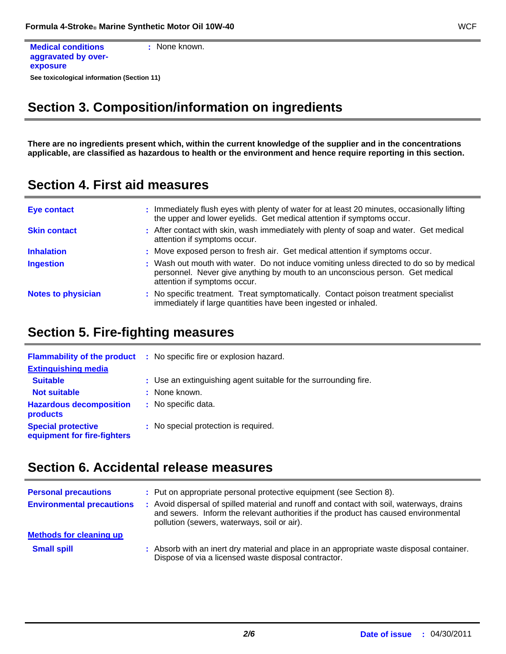```
See toxicological information (Section 11)
Medical conditions
aggravated by over-
exposure
                               : None known.
```
# **Section 3. Composition/information on ingredients**

**There are no ingredients present which, within the current knowledge of the supplier and in the concentrations applicable, are classified as hazardous to health or the environment and hence require reporting in this section.**

### **Section 4. First aid measures**

| <b>Eye contact</b>        | : Immediately flush eyes with plenty of water for at least 20 minutes, occasionally lifting<br>the upper and lower eyelids. Get medical attention if symptoms occur.                                     |
|---------------------------|----------------------------------------------------------------------------------------------------------------------------------------------------------------------------------------------------------|
| <b>Skin contact</b>       | : After contact with skin, wash immediately with plenty of soap and water. Get medical<br>attention if symptoms occur.                                                                                   |
| <b>Inhalation</b>         | : Move exposed person to fresh air. Get medical attention if symptoms occur.                                                                                                                             |
| <b>Ingestion</b>          | : Wash out mouth with water. Do not induce vomiting unless directed to do so by medical<br>personnel. Never give anything by mouth to an unconscious person. Get medical<br>attention if symptoms occur. |
| <b>Notes to physician</b> | : No specific treatment. Treat symptomatically. Contact poison treatment specialist<br>immediately if large quantities have been ingested or inhaled.                                                    |

### **Section 5. Fire-fighting measures**

| <b>Flammability of the product</b>                       | : No specific fire or explosion hazard.                         |
|----------------------------------------------------------|-----------------------------------------------------------------|
| <b>Extinguishing media</b>                               |                                                                 |
| <b>Suitable</b>                                          | : Use an extinguishing agent suitable for the surrounding fire. |
| <b>Not suitable</b>                                      | : None known.                                                   |
| <b>Hazardous decomposition</b><br>products               | : No specific data.                                             |
| <b>Special protective</b><br>equipment for fire-fighters | : No special protection is required.                            |

### **Section 6. Accidental release measures**

| <b>Personal precautions</b><br><b>Environmental precautions</b> | : Put on appropriate personal protective equipment (see Section 8).<br>: Avoid dispersal of spilled material and runoff and contact with soil, waterways, drains<br>and sewers. Inform the relevant authorities if the product has caused environmental<br>pollution (sewers, waterways, soil or air). |
|-----------------------------------------------------------------|--------------------------------------------------------------------------------------------------------------------------------------------------------------------------------------------------------------------------------------------------------------------------------------------------------|
| <b>Methods for cleaning up</b>                                  |                                                                                                                                                                                                                                                                                                        |
| <b>Small spill</b>                                              | : Absorb with an inert dry material and place in an appropriate waste disposal container.<br>Dispose of via a licensed waste disposal contractor.                                                                                                                                                      |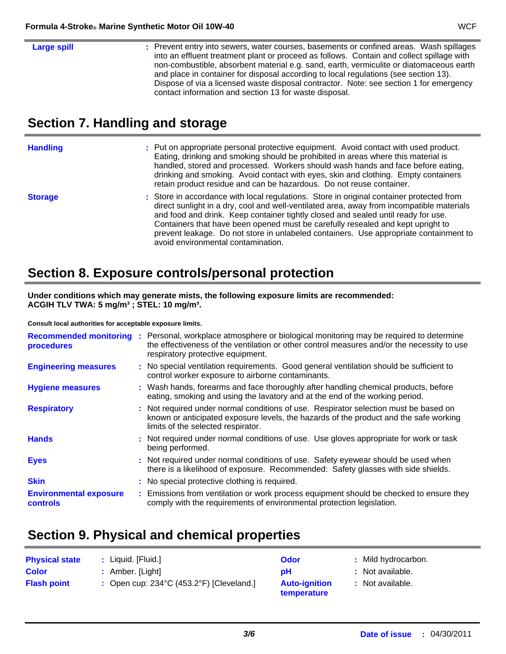| <b>Large spill</b> | : Prevent entry into sewers, water courses, basements or confined areas. Wash spillages<br>into an effluent treatment plant or proceed as follows. Contain and collect spillage with<br>non-combustible, absorbent material e.g. sand, earth, vermiculite or diatomaceous earth<br>and place in container for disposal according to local regulations (see section 13).<br>Dispose of via a licensed waste disposal contractor. Note: see section 1 for emergency |
|--------------------|-------------------------------------------------------------------------------------------------------------------------------------------------------------------------------------------------------------------------------------------------------------------------------------------------------------------------------------------------------------------------------------------------------------------------------------------------------------------|
|                    | contact information and section 13 for waste disposal.                                                                                                                                                                                                                                                                                                                                                                                                            |

# **Section 7. Handling and storage**

| <b>Handling</b> | : Put on appropriate personal protective equipment. Avoid contact with used product.<br>Eating, drinking and smoking should be prohibited in areas where this material is<br>handled, stored and processed. Workers should wash hands and face before eating,<br>drinking and smoking. Avoid contact with eyes, skin and clothing. Empty containers<br>retain product residue and can be hazardous. Do not reuse container.                                                                  |
|-----------------|----------------------------------------------------------------------------------------------------------------------------------------------------------------------------------------------------------------------------------------------------------------------------------------------------------------------------------------------------------------------------------------------------------------------------------------------------------------------------------------------|
| <b>Storage</b>  | : Store in accordance with local regulations. Store in original container protected from<br>direct sunlight in a dry, cool and well-ventilated area, away from incompatible materials<br>and food and drink. Keep container tightly closed and sealed until ready for use.<br>Containers that have been opened must be carefully resealed and kept upright to<br>prevent leakage. Do not store in unlabeled containers. Use appropriate containment to<br>avoid environmental contamination. |

# **Section 8. Exposure controls/personal protection**

**Under conditions which may generate mists, the following exposure limits are recommended: ACGIH TLV TWA: 5 mg/m³ ; STEL: 10 mg/m³.**

**Consult local authorities for acceptable exposure limits.**

| <b>Recommended monitoring</b><br>procedures | : Personal, workplace atmosphere or biological monitoring may be required to determine<br>the effectiveness of the ventilation or other control measures and/or the necessity to use<br>respiratory protective equipment. |
|---------------------------------------------|---------------------------------------------------------------------------------------------------------------------------------------------------------------------------------------------------------------------------|
| <b>Engineering measures</b>                 | : No special ventilation requirements. Good general ventilation should be sufficient to<br>control worker exposure to airborne contaminants.                                                                              |
| <b>Hygiene measures</b>                     | : Wash hands, forearms and face thoroughly after handling chemical products, before<br>eating, smoking and using the lavatory and at the end of the working period.                                                       |
| <b>Respiratory</b>                          | : Not required under normal conditions of use. Respirator selection must be based on<br>known or anticipated exposure levels, the hazards of the product and the safe working<br>limits of the selected respirator.       |
| <b>Hands</b>                                | : Not required under normal conditions of use. Use gloves appropriate for work or task<br>being performed.                                                                                                                |
| <b>Eyes</b>                                 | : Not required under normal conditions of use. Safety eyewear should be used when<br>there is a likelihood of exposure. Recommended: Safety glasses with side shields.                                                    |
| <b>Skin</b>                                 | : No special protective clothing is required.                                                                                                                                                                             |
| <b>Environmental exposure</b><br>controls   | : Emissions from ventilation or work process equipment should be checked to ensure they<br>comply with the requirements of environmental protection legislation.                                                          |

### **Section 9. Physical and chemical properties**

| <b>Physical state</b> | Liquid. [Fluid.]                                              | Odor                                | : Mild hydrocarbon. |
|-----------------------|---------------------------------------------------------------|-------------------------------------|---------------------|
| <b>Color</b>          | : Amber. [Light]                                              | рH                                  | : Not available.    |
| <b>Flash point</b>    | : Open cup: $234^{\circ}$ C (453.2 $^{\circ}$ F) [Cleveland.] | <b>Auto-ignition</b><br>temperature | : Not available.    |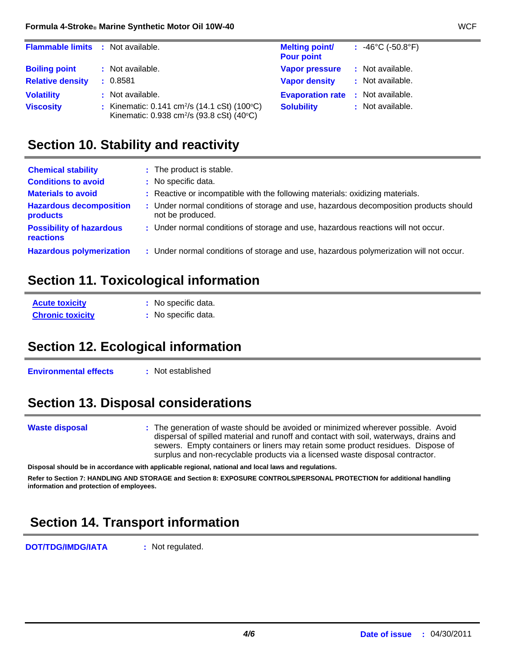| <b>Flammable limits : Not available.</b> |                                                                          | <b>Melting point/</b><br><b>Pour point</b> | $: 46^{\circ}$ C (-50.8 $^{\circ}$ F) |
|------------------------------------------|--------------------------------------------------------------------------|--------------------------------------------|---------------------------------------|
| <b>Boiling point</b>                     | : Not available.                                                         | <b>Vapor pressure</b>                      | : Not available.                      |
| <b>Relative density</b>                  | : 0.8581                                                                 | <b>Vapor density</b>                       | : Not available.                      |
| <b>Volatility</b>                        | : Not available.                                                         | <b>Evaporation rate</b>                    | : Not available.                      |
| <b>Viscosity</b>                         | : Kinematic: $0.141 \text{ cm}^2/\text{s}$ (14.1 cSt) (100 $^{\circ}$ C) | <b>Solubility</b>                          | : Not available.                      |

# **Section 10. Stability and reactivity**

Kinematic:  $0.938 \text{ cm}^2/\text{s}$  (93.8 cSt) (40°C)

| <b>Chemical stability</b>                    | : The product is stable.                                                                                  |
|----------------------------------------------|-----------------------------------------------------------------------------------------------------------|
| <b>Conditions to avoid</b>                   | : No specific data.                                                                                       |
| <b>Materials to avoid</b>                    | : Reactive or incompatible with the following materials: oxidizing materials.                             |
| <b>Hazardous decomposition</b><br>products   | : Under normal conditions of storage and use, hazardous decomposition products should<br>not be produced. |
| <b>Possibility of hazardous</b><br>reactions | : Under normal conditions of storage and use, hazardous reactions will not occur.                         |
| <b>Hazardous polymerization</b>              | : Under normal conditions of storage and use, hazardous polymerization will not occur.                    |

### **Section 11. Toxicological information**

**Acute toxicity Chronic toxicity :** No specific data. **:** No specific data.

## **Section 12. Ecological information**

**Environmental effects :** Not established

## **Section 13. Disposal considerations**

#### **Waste disposal**

The generation of waste should be avoided or minimized wherever possible. Avoid **:** dispersal of spilled material and runoff and contact with soil, waterways, drains and sewers. Empty containers or liners may retain some product residues. Dispose of surplus and non-recyclable products via a licensed waste disposal contractor.

**Disposal should be in accordance with applicable regional, national and local laws and regulations.**

**Refer to Section 7: HANDLING AND STORAGE and Section 8: EXPOSURE CONTROLS/PERSONAL PROTECTION for additional handling information and protection of employees.**

# **Section 14. Transport information**

**DOT/TDG/IMDG/IATA :** Not regulated.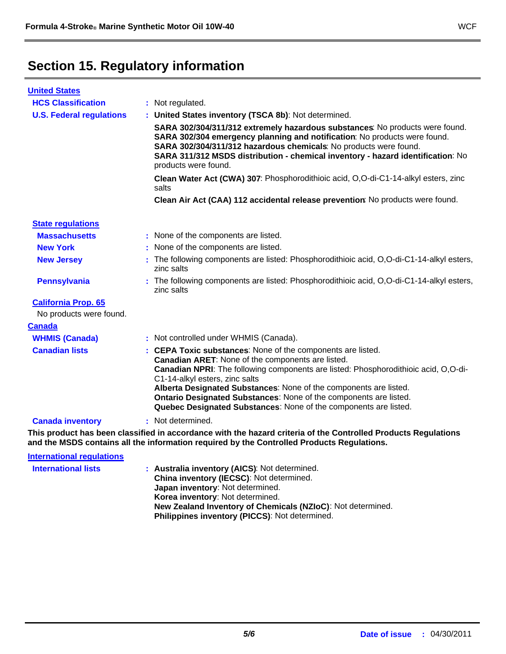# **Section 15. Regulatory information**

| <b>United States</b>                                  |                                                                                                                                                                                                                                                                                                                                                                                                                                                         |
|-------------------------------------------------------|---------------------------------------------------------------------------------------------------------------------------------------------------------------------------------------------------------------------------------------------------------------------------------------------------------------------------------------------------------------------------------------------------------------------------------------------------------|
| <b>HCS Classification</b>                             | : Not regulated.                                                                                                                                                                                                                                                                                                                                                                                                                                        |
| <b>U.S. Federal regulations</b>                       | : United States inventory (TSCA 8b): Not determined.                                                                                                                                                                                                                                                                                                                                                                                                    |
|                                                       | SARA 302/304/311/312 extremely hazardous substances: No products were found.<br>SARA 302/304 emergency planning and notification: No products were found.<br>SARA 302/304/311/312 hazardous chemicals: No products were found.<br>SARA 311/312 MSDS distribution - chemical inventory - hazard identification: No<br>products were found.                                                                                                               |
|                                                       | Clean Water Act (CWA) 307: Phosphorodithioic acid, O,O-di-C1-14-alkyl esters, zinc<br>salts                                                                                                                                                                                                                                                                                                                                                             |
|                                                       | Clean Air Act (CAA) 112 accidental release prevention: No products were found.                                                                                                                                                                                                                                                                                                                                                                          |
| <b>State regulations</b>                              |                                                                                                                                                                                                                                                                                                                                                                                                                                                         |
| <b>Massachusetts</b>                                  | : None of the components are listed.                                                                                                                                                                                                                                                                                                                                                                                                                    |
| <b>New York</b>                                       | : None of the components are listed.                                                                                                                                                                                                                                                                                                                                                                                                                    |
| <b>New Jersey</b>                                     | : The following components are listed: Phosphorodithioic acid, O,O-di-C1-14-alkyl esters,<br>zinc salts                                                                                                                                                                                                                                                                                                                                                 |
| <b>Pennsylvania</b>                                   | : The following components are listed: Phosphorodithioic acid, O,O-di-C1-14-alkyl esters,<br>zinc salts                                                                                                                                                                                                                                                                                                                                                 |
| <b>California Prop. 65</b><br>No products were found. |                                                                                                                                                                                                                                                                                                                                                                                                                                                         |
| <b>Canada</b>                                         |                                                                                                                                                                                                                                                                                                                                                                                                                                                         |
| <b>WHMIS (Canada)</b>                                 | : Not controlled under WHMIS (Canada).                                                                                                                                                                                                                                                                                                                                                                                                                  |
| <b>Canadian lists</b>                                 | : CEPA Toxic substances: None of the components are listed.<br>Canadian ARET: None of the components are listed.<br>Canadian NPRI: The following components are listed: Phosphorodithioic acid, O,O-di-<br>C1-14-alkyl esters, zinc salts<br>Alberta Designated Substances: None of the components are listed.<br>Ontario Designated Substances: None of the components are listed.<br>Quebec Designated Substances: None of the components are listed. |
| <b>Canada inventory</b>                               | : Not determined.                                                                                                                                                                                                                                                                                                                                                                                                                                       |
|                                                       | This product has been classified in accordance with the hazard criteria of the Controlled Products Regulations<br>and the MSDS contains all the information required by the Controlled Products Regulations.                                                                                                                                                                                                                                            |
| <b>International regulations</b>                      |                                                                                                                                                                                                                                                                                                                                                                                                                                                         |
| <b>International lists</b>                            | : Australia inventory (AICS): Not determined.<br>China inventory (IECSC): Not determined.<br>Japan inventory: Not determined.<br>Korea inventory: Not determined.<br>New Zealand Inventory of Chemicals (NZIoC): Not determined.                                                                                                                                                                                                                        |

**Philippines inventory (PICCS)**: Not determined.